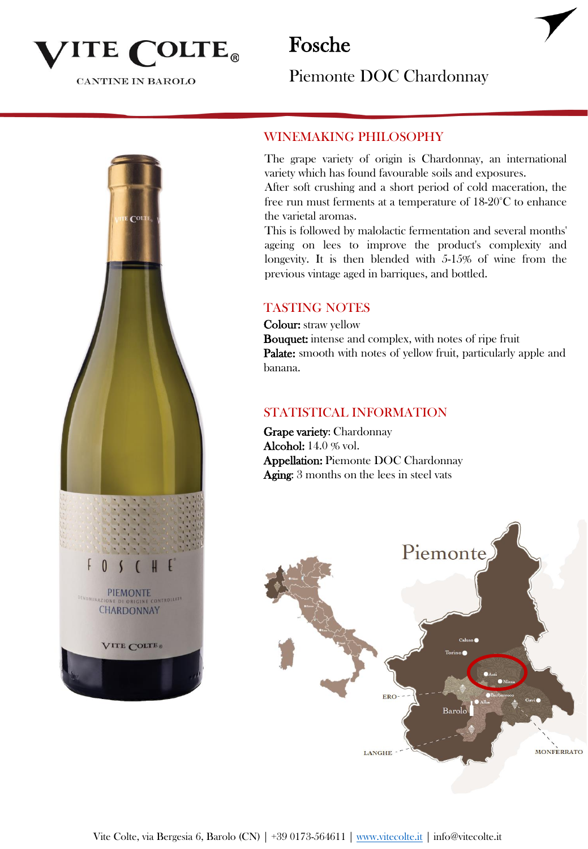

**CANTINE IN BAROLO** 

Fosche

Piemonte DOC Chardonnay



### WINEMAKING PHILOSOPHY

The grape variety of origin is Chardonnay, an international variety which has found favourable soils and exposures.

After soft crushing and a short period of cold maceration, the free run must ferments at a temperature of 18-20°C to enhance the varietal aromas.

This is followed by malolactic fermentation and several months' ageing on lees to improve the product's complexity and longevity. It is then blended with 5-15% of wine from the previous vintage aged in barriques, and bottled.

#### TASTING NOTES

Colour: straw yellow Bouquet: intense and complex, with notes of ripe fruit Palate: smooth with notes of yellow fruit, particularly apple and banana.

#### STATISTICAL INFORMATION

Grape variety: Chardonnay Alcohol: 14.0 % vol. Appellation: Piemonte DOC Chardonnay Aging: 3 months on the lees in steel vats

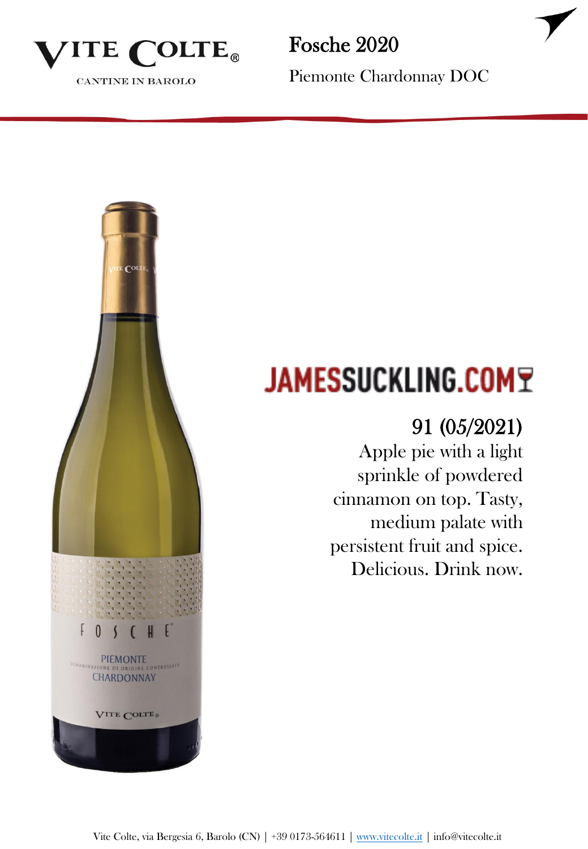

CANTINE IN BAROLO

Fosche 2020

Piemonte Chardonnay DOC



# **JAMESSUCKLING.COMT**

### 91 (05/2021)

Apple pie with a light sprinkle of powdered cinnamon on top. Tasty, medium palate with persistent fruit and spice. Delicious. Drink now.